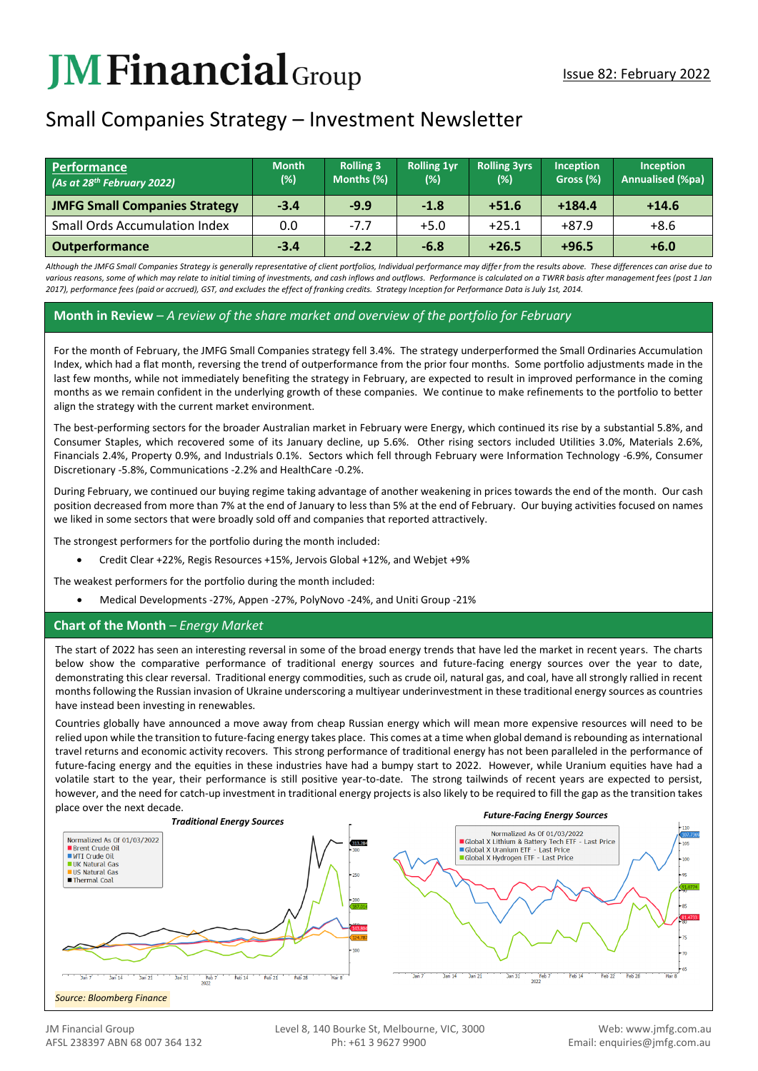# **JMFinancial**Group

# Small Companies Strategy – Investment Newsletter

| Performance<br>$(As$ at 28 <sup>th</sup> February 2022) | <b>Month</b><br>(%) | <b>Rolling 3</b><br>Months (%) | <b>Rolling 1vr</b><br>(%) | <b>Rolling 3yrs</b><br>(%) | Inception<br>Gross (%) | <b>Inception</b><br><b>Annualised (%pa)</b> |
|---------------------------------------------------------|---------------------|--------------------------------|---------------------------|----------------------------|------------------------|---------------------------------------------|
| <b>JMFG Small Companies Strategy</b>                    | $-3.4$              | $-9.9$                         | $-1.8$                    | $+51.6$                    | $+184.4$               | $+14.6$                                     |
| <b>Small Ords Accumulation Index</b>                    | 0.0                 | $-7.7$                         | $+5.0$                    | $+25.1$                    | $+87.9$                | $+8.6$                                      |
| <b>Outperformance</b>                                   | $-3.4$              | $-2.2$                         | $-6.8$                    | $+26.5$                    | $+96.5$                | $+6.0$                                      |

*Although the JMFG Small Companies Strategy is generally representative of client portfolios, Individual performance may differ from the results above. These differences can arise due to*  various reasons, some of which may relate to initial timing of investments, and cash inflows and outflows. Performance is calculated on a TWRR basis after management fees (post 1 Jan *2017), performance fees (paid or accrued), GST, and excludes the effect of franking credits. Strategy Inception for Performance Data is July 1st, 2014.*

#### **Month in Review** *– A review of the share market and overview of the portfolio for February*

For the month of February, the JMFG Small Companies strategy fell 3.4%. The strategy underperformed the Small Ordinaries Accumulation Index, which had a flat month, reversing the trend of outperformance from the prior four months. Some portfolio adjustments made in the last few months, while not immediately benefiting the strategy in February, are expected to result in improved performance in the coming months as we remain confident in the underlying growth of these companies. We continue to make refinements to the portfolio to better align the strategy with the current market environment.

The best-performing sectors for the broader Australian market in February were Energy, which continued its rise by a substantial 5.8%, and Consumer Staples, which recovered some of its January decline, up 5.6%. Other rising sectors included Utilities 3.0%, Materials 2.6%, Financials 2.4%, Property 0.9%, and Industrials 0.1%. Sectors which fell through February were Information Technology -6.9%, Consumer Discretionary -5.8%, Communications -2.2% and HealthCare -0.2%.

During February, we continued our buying regime taking advantage of another weakening in prices towards the end of the month. Our cash position decreased from more than 7% at the end of January to less than 5% at the end of February. Our buying activities focused on names we liked in some sectors that were broadly sold off and companies that reported attractively.

The strongest performers for the portfolio during the month included:

• Credit Clear +22%, Regis Resources +15%, Jervois Global +12%, and Webjet +9%

The weakest performers for the portfolio during the month included:

• Medical Developments -27%, Appen -27%, PolyNovo -24%, and Uniti Group -21%

#### **Chart of the Month** *– Energy Market*

The start of 2022 has seen an interesting reversal in some of the broad energy trends that have led the market in recent years. The charts below show the comparative performance of traditional energy sources and future-facing energy sources over the year to date, demonstrating this clear reversal. Traditional energy commodities, such as crude oil, natural gas, and coal, have all strongly rallied in recent months following the Russian invasion of Ukraine underscoring a multiyear underinvestment in these traditional energy sources as countries have instead been investing in renewables.

Countries globally have announced a move away from cheap Russian energy which will mean more expensive resources will need to be relied upon while the transition to future-facing energy takes place. This comes at a time when global demand is rebounding as international travel returns and economic activity recovers. This strong performance of traditional energy has not been paralleled in the performance of future-facing energy and the equities in these industries have had a bumpy start to 2022. However, while Uranium equities have had a volatile start to the year, their performance is still positive year-to-date. The strong tailwinds of recent years are expected to persist, however, and the need for catch-up investment in traditional energy projects is also likely to be required to fill the gap as the transition takes place over the next decade.